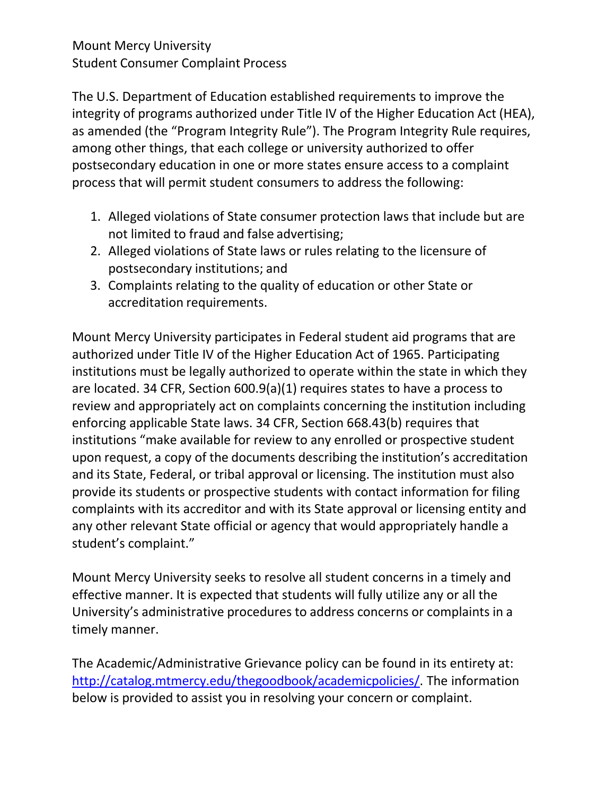## Mount Mercy University Student Consumer Complaint Process

The U.S. Department of Education established requirements to improve the integrity of programs authorized under Title IV of the Higher Education Act (HEA), as amended (the "Program Integrity Rule"). The Program Integrity Rule requires, among other things, that each college or university authorized to offer postsecondary education in one or more states ensure access to a complaint process that will permit student consumers to address the following:

- 1. Alleged violations of State consumer protection laws that include but are not limited to fraud and false advertising;
- 2. Alleged violations of State laws or rules relating to the licensure of postsecondary institutions; and
- 3. Complaints relating to the quality of education or other State or accreditation requirements.

Mount Mercy University participates in Federal student aid programs that are authorized under Title IV of the Higher Education Act of 1965. Participating institutions must be legally authorized to operate within the state in which they are located. 34 CFR, Section 600.9(a)(1) requires states to have a process to review and appropriately act on complaints concerning the institution including enforcing applicable State laws. 34 CFR, Section 668.43(b) requires that institutions "make available for review to any enrolled or prospective student upon request, a copy of the documents describing the institution's accreditation and its State, Federal, or tribal approval or licensing. The institution must also provide its students or prospective students with contact information for filing complaints with its accreditor and with its State approval or licensing entity and any other relevant State official or agency that would appropriately handle a student's complaint."

Mount Mercy University seeks to resolve all student concerns in a timely and effective manner. It is expected that students will fully utilize any or all the University's administrative procedures to address concerns or complaints in a timely manner.

The Academic/Administrative Grievance policy can be found in its entirety at: [http://catalog.mtmercy.edu/thegoodbook/academicpolicies/.](http://catalog.mtmercy.edu/thegoodbook/academicpolicies/) The information below is provided to assist you in resolving your concern or complaint.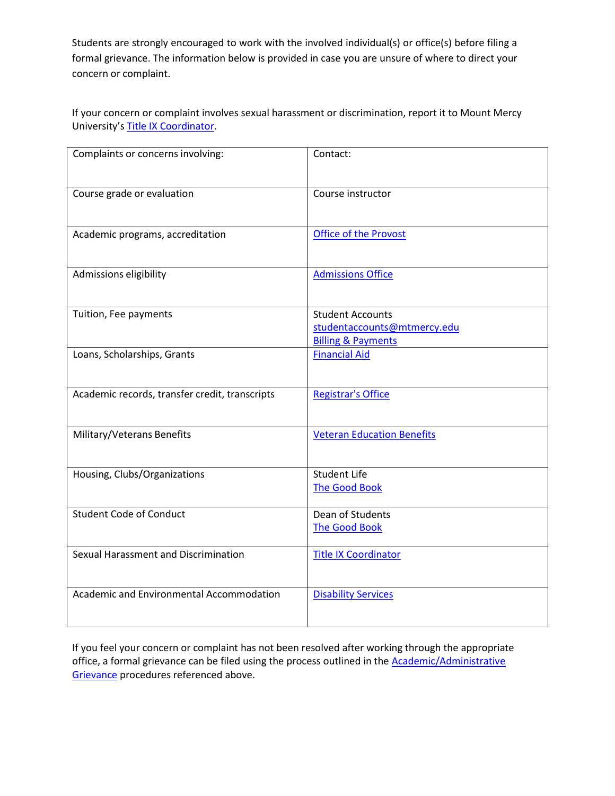Students are strongly encouraged to work with the involved individual(s) or office(s) before filing a formal grievance. The information below is provided in case you are unsure of where to direct your concern or complaint.

If your concern or complaint involves sexual harassment or discrimination, report it to Mount Mercy University's Title IX [Coordinator.](https://www.mtmercy.edu/title-ix)

| Complaints or concerns involving:              | Contact:                                                                                |
|------------------------------------------------|-----------------------------------------------------------------------------------------|
| Course grade or evaluation                     | Course instructor                                                                       |
| Academic programs, accreditation               | <b>Office of the Provost</b>                                                            |
| Admissions eligibility                         | <b>Admissions Office</b>                                                                |
| Tuition, Fee payments                          | <b>Student Accounts</b><br>studentaccounts@mtmercy.edu<br><b>Billing &amp; Payments</b> |
| Loans, Scholarships, Grants                    | <b>Financial Aid</b>                                                                    |
| Academic records, transfer credit, transcripts | <b>Registrar's Office</b>                                                               |
| Military/Veterans Benefits                     | <b>Veteran Education Benefits</b>                                                       |
| Housing, Clubs/Organizations                   | <b>Student Life</b><br><b>The Good Book</b>                                             |
| <b>Student Code of Conduct</b>                 | Dean of Students<br><b>The Good Book</b>                                                |
| Sexual Harassment and Discrimination           | <b>Title IX Coordinator</b>                                                             |
| Academic and Environmental Accommodation       | <b>Disability Services</b>                                                              |

If you feel your concern or complaint has not been resolved after working through the appropriate office, a formal grievance can be filed using the process outlined in the **Academic/Administrative** [Grievance](http://catalog.mtmercy.edu/thegoodbook/academicpolicies/) procedures referenced above.